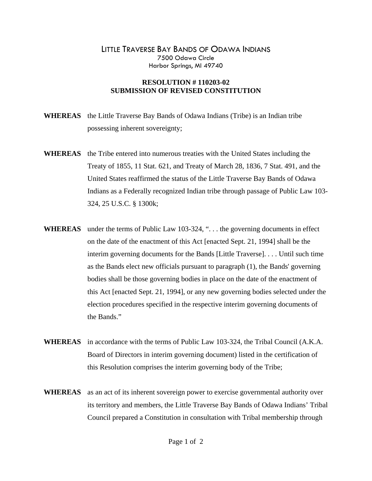## LITTLE TRAVERSE BAY BANDS OF ODAWA INDIANS 7500 Odawa Circle Harbor Springs, MI 49740

## **RESOLUTION # 110203-02 SUBMISSION OF REVISED CONSTITUTION**

- **WHEREAS** the Little Traverse Bay Bands of Odawa Indians (Tribe) is an Indian tribe possessing inherent sovereignty;
- **WHEREAS** the Tribe entered into numerous treaties with the United States including the Treaty of 1855, 11 Stat. 621, and Treaty of March 28, 1836, 7 Stat. 491, and the United States reaffirmed the status of the Little Traverse Bay Bands of Odawa Indians as a Federally recognized Indian tribe through passage of Public Law 103- 324, 25 U.S.C. § 1300k;
- WHEREAS under the terms of Public Law 103-324, "... the governing documents in effect on the date of the enactment of this Act [enacted Sept. 21, 1994] shall be the interim governing documents for the Bands [Little Traverse]. . . . Until such time as the Bands elect new officials pursuant to paragraph (1), the Bands' governing bodies shall be those governing bodies in place on the date of the enactment of this Act [enacted Sept. 21, 1994], or any new governing bodies selected under the election procedures specified in the respective interim governing documents of the Bands."
- **WHEREAS** in accordance with the terms of Public Law 103-324, the Tribal Council (A.K.A. Board of Directors in interim governing document) listed in the certification of this Resolution comprises the interim governing body of the Tribe;
- **WHEREAS** as an act of its inherent sovereign power to exercise governmental authority over its territory and members, the Little Traverse Bay Bands of Odawa Indians' Tribal Council prepared a Constitution in consultation with Tribal membership through